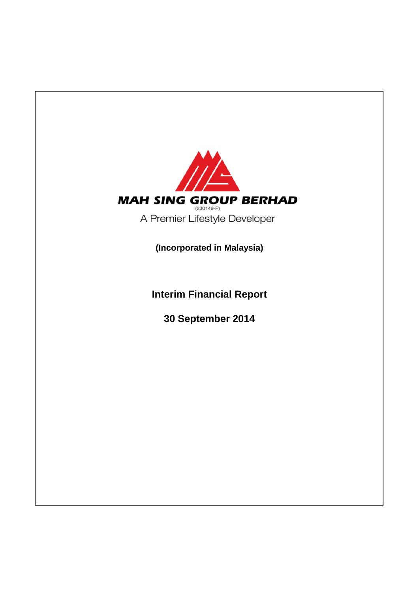

**Interim Financial Report**

**30 September 2014**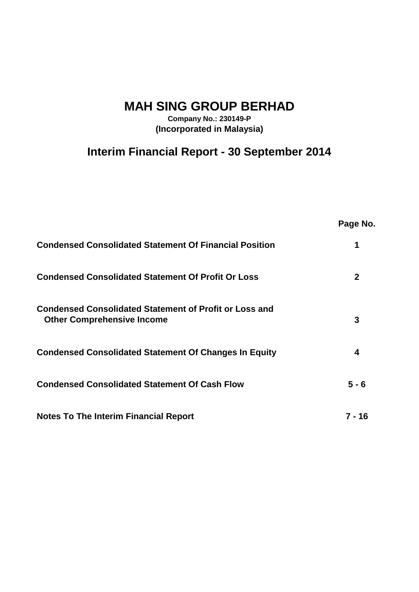# **MAH SING GROUP BERHAD**

**Company No.: 230149-P (Incorporated in Malaysia)**

# **Interim Financial Report - 30 September 2014**

|                                                                                                    | Page No.     |
|----------------------------------------------------------------------------------------------------|--------------|
| <b>Condensed Consolidated Statement Of Financial Position</b>                                      | 1            |
| <b>Condensed Consolidated Statement Of Profit Or Loss</b>                                          | $\mathbf{2}$ |
| <b>Condensed Consolidated Statement of Profit or Loss and</b><br><b>Other Comprehensive Income</b> | 3            |
| <b>Condensed Consolidated Statement Of Changes In Equity</b>                                       | 4            |
| <b>Condensed Consolidated Statement Of Cash Flow</b>                                               | $5 - 6$      |
| <b>Notes To The Interim Financial Report</b>                                                       | 7 - 16       |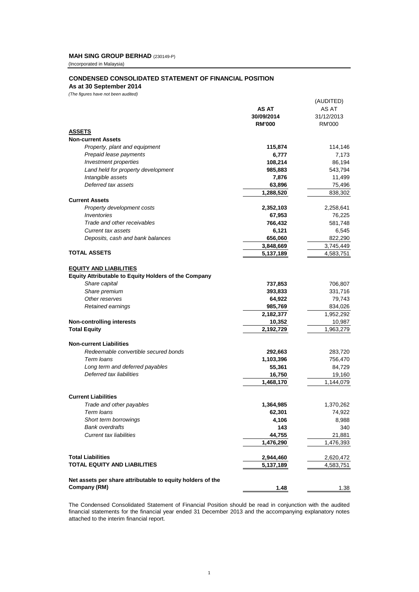# **MAH SING GROUP BERHAD** (230149-P)

(Incorporated in Malaysia)

# **CONDENSED CONSOLIDATED STATEMENT OF FINANCIAL POSITION**

**As at 30 September 2014**

*(The figures have not been audited)*

|                                                             |               | (AUDITED)  |
|-------------------------------------------------------------|---------------|------------|
|                                                             | AS AT         | AS AT      |
|                                                             | 30/09/2014    | 31/12/2013 |
|                                                             | <b>RM'000</b> | RM'000     |
| <b>ASSETS</b>                                               |               |            |
| <b>Non-current Assets</b>                                   |               |            |
| Property, plant and equipment                               | 115,874       | 114,146    |
| Prepaid lease payments                                      | 6,777         | 7,173      |
| Investment properties                                       | 108,214       | 86,194     |
| Land held for property development                          | 985,883       | 543,794    |
| Intangible assets                                           | 7,876         | 11,499     |
| Deferred tax assets                                         | 63,896        | 75,496     |
|                                                             | 1,288,520     | 838.302    |
| <b>Current Assets</b>                                       |               |            |
| Property development costs                                  |               |            |
|                                                             | 2,352,103     | 2,258,641  |
| Inventories                                                 | 67,953        | 76,225     |
| Trade and other receivables                                 | 766,432       | 581,748    |
| Current tax assets                                          | 6,121         | 6,545      |
| Deposits, cash and bank balances                            | 656,060       | 822,290    |
|                                                             | 3,848,669     | 3,745,449  |
| <b>TOTAL ASSETS</b>                                         | 5,137,189     | 4,583,751  |
|                                                             |               |            |
| <b>EQUITY AND LIABILITIES</b>                               |               |            |
| <b>Equity Attributable to Equity Holders of the Company</b> |               |            |
| Share capital                                               | 737,853       | 706,807    |
| Share premium                                               | 393,833       | 331,716    |
| Other reserves                                              | 64,922        | 79,743     |
| Retained earnings                                           | 985,769       | 834,026    |
|                                                             | 2,182,377     | 1,952,292  |
| <b>Non-controlling interests</b>                            | 10,352        | 10,987     |
| <b>Total Equity</b>                                         | 2,192,729     | 1,963,279  |
|                                                             |               |            |
| <b>Non-current Liabilities</b>                              |               |            |
| Redeemable convertible secured bonds                        | 292,663       | 283,720    |
| Term loans                                                  | 1,103,396     | 756,470    |
| Long term and deferred payables                             | 55,361        | 84,729     |
| Deferred tax liabilities                                    | 16,750        | 19,160     |
|                                                             | 1,468,170     | 1,144,079  |
|                                                             |               |            |
| <b>Current Liabilities</b>                                  |               |            |
| Trade and other payables                                    | 1,364,985     | 1,370,262  |
| Term Ioans                                                  | 62,301        | 74,922     |
| Short term borrowings                                       | 4,106         | 8,988      |
| <b>Bank overdrafts</b>                                      | 143           | 340        |
| <b>Current tax liabilities</b>                              | 44,755        | 21,881     |
|                                                             | 1,476,290     | 1,476,393  |
|                                                             |               |            |
| <b>Total Liabilities</b>                                    | 2,944,460     | 2,620,472  |
| <b>TOTAL EQUITY AND LIABILITIES</b>                         | 5,137,189     | 4,583,751  |
|                                                             |               |            |
| Net assets per share attributable to equity holders of the  |               |            |
| Company (RM)                                                | 1.48          | 1.38       |
|                                                             |               |            |

The Condensed Consolidated Statement of Financial Position should be read in conjunction with the audited financial statements for the financial year ended 31 December 2013 and the accompanying explanatory notes attached to the interim financial report.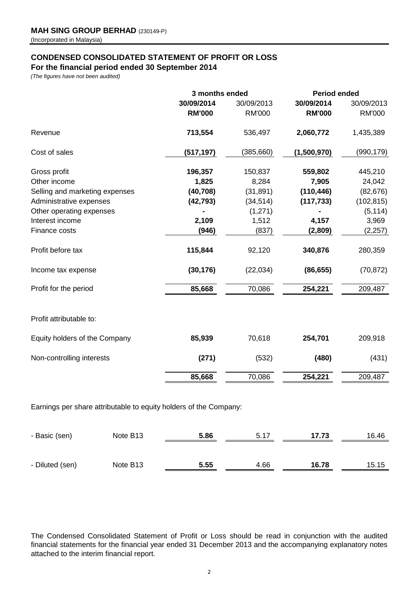# **CONDENSED CONSOLIDATED STATEMENT OF PROFIT OR LOSS**

# **For the financial period ended 30 September 2014**

*(The figures have not been audited)*

|                                | 3 months ended |               | <b>Period ended</b> |               |  |
|--------------------------------|----------------|---------------|---------------------|---------------|--|
|                                | 30/09/2014     | 30/09/2013    | 30/09/2014          | 30/09/2013    |  |
|                                | <b>RM'000</b>  | <b>RM'000</b> | <b>RM'000</b>       | <b>RM'000</b> |  |
| Revenue                        | 713,554        | 536,497       | 2,060,772           | 1,435,389     |  |
| Cost of sales                  | (517, 197)     | (385, 660)    | (1,500,970)         | (990, 179)    |  |
| Gross profit                   | 196,357        | 150,837       | 559,802             | 445,210       |  |
| Other income                   | 1,825          | 8,284         | 7,905               | 24,042        |  |
| Selling and marketing expenses | (40, 708)      | (31, 891)     | (110, 446)          | (82, 676)     |  |
| Administrative expenses        | (42, 793)      | (34, 514)     | (117, 733)          | (102, 815)    |  |
| Other operating expenses       |                | (1, 271)      |                     | (5, 114)      |  |
| Interest income                | 2,109          | 1,512         | 4,157               | 3,969         |  |
| Finance costs                  | (946)          | (837)         | (2,809)             | (2, 257)      |  |
| Profit before tax              | 115,844        | 92,120        | 340,876             | 280,359       |  |
| Income tax expense             | (30, 176)      | (22, 034)     | (86, 655)           | (70, 872)     |  |
| Profit for the period          | 85,668         | 70,086        | 254,221             | 209,487       |  |
| Profit attributable to:        |                |               |                     |               |  |
| Equity holders of the Company  | 85,939         | 70,618        | 254,701             | 209,918       |  |
| Non-controlling interests      | (271)          | (532)         | (480)               | (431)         |  |
|                                | 85,668         | 70,086        | 254,221             | 209,487       |  |
|                                |                |               |                     |               |  |

Earnings per share attributable to equity holders of the Company:

| - Basic (sen)   | Note B <sub>13</sub> | 5.86 | 5.17 | 17.73 | 16.46 |
|-----------------|----------------------|------|------|-------|-------|
|                 |                      |      |      |       |       |
| - Diluted (sen) | Note B <sub>13</sub> | 5.55 | 4.66 | 16.78 | 15.15 |

The Condensed Consolidated Statement of Profit or Loss should be read in conjunction with the audited financial statements for the financial year ended 31 December 2013 and the accompanying explanatory notes attached to the interim financial report.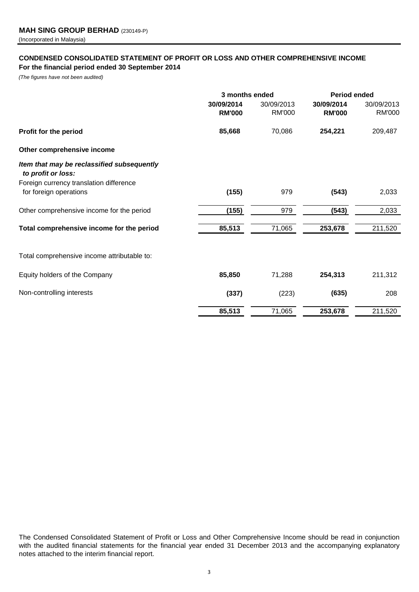# **CONDENSED CONSOLIDATED STATEMENT OF PROFIT OR LOSS AND OTHER COMPREHENSIVE INCOME For the financial period ended 30 September 2014**

*(The figures have not been audited)*

|                                                                  | 3 months ended              |                             | Period ended                |                             |  |
|------------------------------------------------------------------|-----------------------------|-----------------------------|-----------------------------|-----------------------------|--|
|                                                                  | 30/09/2014<br><b>RM'000</b> | 30/09/2013<br><b>RM'000</b> | 30/09/2014<br><b>RM'000</b> | 30/09/2013<br><b>RM'000</b> |  |
|                                                                  |                             |                             |                             |                             |  |
| Profit for the period                                            | 85,668                      | 70,086                      | 254,221                     | 209,487                     |  |
| Other comprehensive income                                       |                             |                             |                             |                             |  |
| Item that may be reclassified subsequently<br>to profit or loss: |                             |                             |                             |                             |  |
| Foreign currency translation difference                          |                             |                             |                             |                             |  |
| for foreign operations                                           | (155)                       | 979                         | (543)                       | 2,033                       |  |
| Other comprehensive income for the period                        | (155)                       | 979                         | (543)                       | 2,033                       |  |
| Total comprehensive income for the period                        | 85,513                      | 71,065                      | 253,678                     | 211,520                     |  |
| Total comprehensive income attributable to:                      |                             |                             |                             |                             |  |
| Equity holders of the Company                                    | 85,850                      | 71,288                      | 254,313                     | 211,312                     |  |
| Non-controlling interests                                        | (337)                       | (223)                       | (635)                       | 208                         |  |
|                                                                  | 85,513                      | 71,065                      | 253,678                     | 211,520                     |  |
|                                                                  |                             |                             |                             |                             |  |

The Condensed Consolidated Statement of Profit or Loss and Other Comprehensive Income should be read in conjunction with the audited financial statements for the financial year ended 31 December 2013 and the accompanying explanatory notes attached to the interim financial report.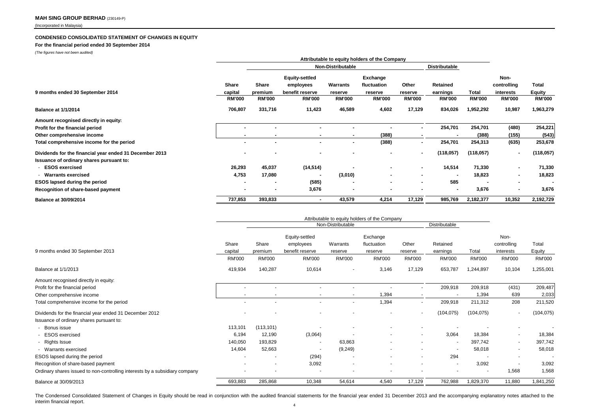#### **CONDENSED CONSOLIDATED STATEMENT OF CHANGES IN EQUITY**

#### **For the financial period ended 30 September 2014**

*(The figures have not been audited)*

|                                                         | Attributable to equity holders of the Company |                          |                       |               |                |                          |                      |               |                          |                |
|---------------------------------------------------------|-----------------------------------------------|--------------------------|-----------------------|---------------|----------------|--------------------------|----------------------|---------------|--------------------------|----------------|
|                                                         |                                               | <b>Non-Distributable</b> |                       |               |                |                          | <b>Distributable</b> |               |                          |                |
|                                                         |                                               |                          | <b>Equity-settled</b> |               | Exchange       |                          |                      |               | Non-                     |                |
|                                                         | Share                                         | Share                    | employees             | Warrants      | fluctuation    | Other                    | Retained             |               | controlling              | Total          |
| 9 months ended 30 September 2014                        | capital                                       | premium                  | benefit reserve       | reserve       | reserve        | reserve                  | earnings             | Total         | interests                | <b>Equity</b>  |
|                                                         | <b>RM'000</b>                                 | <b>RM'000</b>            | <b>RM'000</b>         | <b>RM'000</b> | <b>RM'000</b>  | <b>RM'000</b>            | <b>RM'000</b>        | <b>RM'000</b> | <b>RM'000</b>            | <b>RM'000</b>  |
| <b>Balance at 1/1/2014</b>                              | 706,807                                       | 331,716                  | 11,423                | 46,589        | 4,602          | 17,129                   | 834,026              | 1,952,292     | 10,987                   | 1,963,279      |
| Amount recognised directly in equity:                   |                                               |                          |                       |               |                |                          |                      |               |                          |                |
| Profit for the financial period                         | $\blacksquare$                                |                          |                       |               |                |                          | 254,701              | 254,701       | (480)                    | 254,221        |
| Other comprehensive income                              | $\blacksquare$                                |                          | ۰                     | ۰             | (388)          | $\overline{\phantom{a}}$ |                      | (388)         | (155)                    | (543)          |
| Total comprehensive income for the period               |                                               |                          | ۰.                    |               | (388)          |                          | 254,701              | 254,313       | (635)                    | 253,678        |
| Dividends for the financial year ended 31 December 2013 | $\blacksquare$                                |                          |                       |               |                | $\blacksquare$           | (118,057)            | (118,057)     |                          | (118, 057)     |
| Issuance of ordinary shares pursuant to:                |                                               |                          |                       |               |                |                          |                      |               |                          |                |
| - ESOS exercised                                        | 26,293                                        | 45,037                   | (14, 514)             |               | $\sim$         |                          | 14,514               | 71,330        | $\overline{\phantom{a}}$ | 71,330         |
| - Warrants exercised                                    | 4,753                                         | 17,080                   | ٠                     | (3,010)       | $\blacksquare$ |                          |                      | 18,823        | $\blacksquare$           | 18,823         |
| <b>ESOS lapsed during the period</b>                    | $\blacksquare$                                |                          | (585)                 | ۰             |                |                          | 585                  |               | $\blacksquare$           | $\blacksquare$ |
| Recognition of share-based payment                      | $\blacksquare$                                | $\,$                     | 3,676                 |               |                |                          | $\sim$               | 3,676         | $\blacksquare$           | 3,676          |
| <b>Balance at 30/09/2014</b>                            | 737,853                                       | 393,833                  |                       | 43,579        | 4,214          | 17,129                   | 985,769              | 2,182,377     | 10,352                   | 2,192,729      |

|                                                                             | Attributable to equity holders of the Company |                   |                             |                          |                          |                          |               |                |                          |               |
|-----------------------------------------------------------------------------|-----------------------------------------------|-------------------|-----------------------------|--------------------------|--------------------------|--------------------------|---------------|----------------|--------------------------|---------------|
|                                                                             |                                               | Non-Distributable |                             |                          |                          |                          | Distributable |                |                          |               |
|                                                                             | Share                                         | Share             | Equity-settled<br>employees | Warrants                 | Exchange<br>fluctuation  | Other                    | Retained      |                | Non-<br>controlling      | Total         |
| 9 months ended 30 September 2013                                            | capital                                       | premium           | benefit reserve             | reserve                  | reserve                  | reserve                  | earnings      | Total          | interests                | Equity        |
|                                                                             | RM'000                                        | <b>RM'000</b>     | RM'000                      | <b>RM'000</b>            | <b>RM'000</b>            | <b>RM'000</b>            | <b>RM'000</b> | <b>RM'000</b>  | <b>RM'000</b>            | <b>RM'000</b> |
| <b>Balance at 1/1/2013</b>                                                  | 419,934                                       | 140,287           | 10,614                      | $\overline{\phantom{a}}$ | 3,146                    | 17,129                   | 653,787       | 1,244,897      | 10,104                   | 1,255,001     |
| Amount recognised directly in equity:                                       |                                               |                   |                             |                          |                          |                          |               |                |                          |               |
| Profit for the financial period                                             |                                               |                   |                             |                          |                          |                          | 209,918       | 209,918        | (431)                    | 209,487       |
| Other comprehensive income                                                  |                                               |                   |                             |                          | 1,394                    |                          |               | 1,394          | 639                      | 2,033         |
| Total comprehensive income for the period                                   | $\overline{a}$                                |                   | $\overline{\phantom{a}}$    | $\blacksquare$           | 1,394                    |                          | 209,918       | 211,312        | 208                      | 211,520       |
| Dividends for the financial year ended 31 December 2012                     |                                               |                   | $\overline{a}$              |                          |                          | $\overline{\phantom{a}}$ | (104, 075)    | (104, 075)     | $\overline{\phantom{a}}$ | (104, 075)    |
| Issuance of ordinary shares pursuant to:                                    |                                               |                   |                             |                          |                          |                          |               |                |                          |               |
| Bonus issue                                                                 | 113,101                                       | (113, 101)        |                             |                          |                          |                          |               |                | $\overline{\phantom{a}}$ |               |
| <b>ESOS</b> exercised                                                       | 6,194                                         | 12,190            | (3,064)                     |                          |                          |                          | 3,064         | 18,384         | $\overline{\phantom{a}}$ | 18,384        |
| - Rights Issue                                                              | 140,050                                       | 193,829           | $\overline{\phantom{a}}$    | 63,863                   | $\overline{\phantom{a}}$ |                          | $\sim$        | 397,742        | $\overline{\phantom{a}}$ | 397,742       |
| - Warrants exercised                                                        | 14,604                                        | 52,663            | $\overline{a}$              | (9, 249)                 |                          |                          |               | 58,018         | $\sim$                   | 58,018        |
| ESOS lapsed during the period                                               | $\overline{\phantom{a}}$                      |                   | (294)                       | $\overline{\phantom{a}}$ |                          | $\overline{\phantom{a}}$ | 294           |                | $\overline{\phantom{a}}$ |               |
| Recognition of share-based payment                                          |                                               |                   | 3,092                       |                          |                          |                          |               | 3,092          | $\overline{\phantom{a}}$ | 3,092         |
| Ordinary shares issued to non-controlling interests by a subsidiary company |                                               |                   | $\overline{\phantom{a}}$    |                          |                          |                          |               | $\blacksquare$ | 1,568                    | 1,568         |
| Balance at 30/09/2013                                                       | 693,883                                       | 285,868           | 10,348                      | 54,614                   | 4,540                    | 17,129                   | 762,988       | 1,829,370      | 11,880                   | 1,841,250     |

The Condensed Consolidated Statement of Changes in Equity should be read in conjunction with the audited financial statements for the financial year ended 31 December 2013 and the accompanying explanatory notes attached to interim financial report.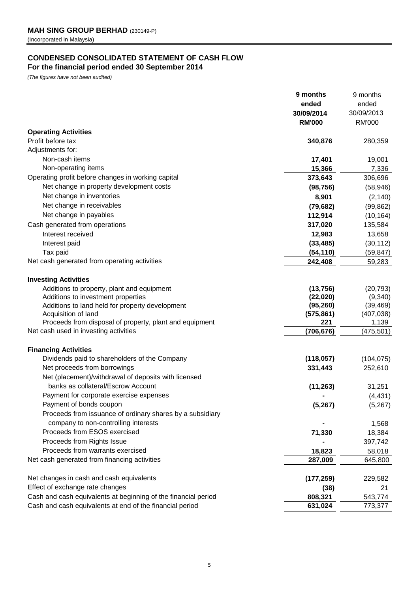# **CONDENSED CONSOLIDATED STATEMENT OF CASH FLOW For the financial period ended 30 September 2014**

*(The figures have not been audited)*

|                                                                | 9 months      | 9 months      |
|----------------------------------------------------------------|---------------|---------------|
|                                                                | ended         | ended         |
|                                                                | 30/09/2014    | 30/09/2013    |
|                                                                | <b>RM'000</b> | <b>RM'000</b> |
| <b>Operating Activities</b>                                    |               |               |
| Profit before tax                                              | 340,876       | 280,359       |
| Adjustments for:                                               |               |               |
| Non-cash items                                                 | 17,401        | 19,001        |
| Non-operating items                                            | 15,366        | 7,336         |
| Operating profit before changes in working capital             | 373,643       | 306,696       |
| Net change in property development costs                       | (98, 756)     | (58, 946)     |
| Net change in inventories                                      | 8,901         | (2, 140)      |
| Net change in receivables                                      | (79, 682)     | (99, 862)     |
| Net change in payables                                         | 112,914       | (10, 164)     |
| Cash generated from operations                                 | 317,020       | 135,584       |
| Interest received                                              | 12,983        | 13,658        |
| Interest paid                                                  | (33, 485)     | (30, 112)     |
| Tax paid                                                       | (54, 110)     | (59, 847)     |
| Net cash generated from operating activities                   | 242,408       | 59,283        |
|                                                                |               |               |
| <b>Investing Activities</b>                                    |               |               |
| Additions to property, plant and equipment                     | (13, 756)     | (20, 793)     |
| Additions to investment properties                             | (22, 020)     | (9,340)       |
| Additions to land held for property development                | (95, 260)     | (39, 469)     |
| Acquisition of land                                            | (575, 861)    | (407, 038)    |
| Proceeds from disposal of property, plant and equipment        | 221           | 1,139         |
| Net cash used in investing activities                          | (706, 676)    | (475, 501)    |
|                                                                |               |               |
| <b>Financing Activities</b>                                    |               |               |
| Dividends paid to shareholders of the Company                  | (118, 057)    | (104, 075)    |
| Net proceeds from borrowings                                   | 331,443       | 252,610       |
| Net (placement)/withdrawal of deposits with licensed           |               |               |
| banks as collateral/Escrow Account                             | (11, 263)     | 31,251        |
| Payment for corporate exercise expenses                        |               | (4, 431)      |
| Payment of bonds coupon                                        | (5, 267)      | (5,267)       |
| Proceeds from issuance of ordinary shares by a subsidiary      |               |               |
| company to non-controlling interests                           |               | 1,568         |
| Proceeds from ESOS exercised                                   | 71,330        | 18,384        |
| Proceeds from Rights Issue                                     |               | 397,742       |
| Proceeds from warrants exercised                               | 18,823        | 58,018        |
| Net cash generated from financing activities                   | 287,009       | 645,800       |
|                                                                |               |               |
| Net changes in cash and cash equivalents                       | (177, 259)    | 229,582       |
| Effect of exchange rate changes                                | (38)          | 21            |
| Cash and cash equivalents at beginning of the financial period | 808,321       | 543,774       |
| Cash and cash equivalents at end of the financial period       | 631,024       | 773,377       |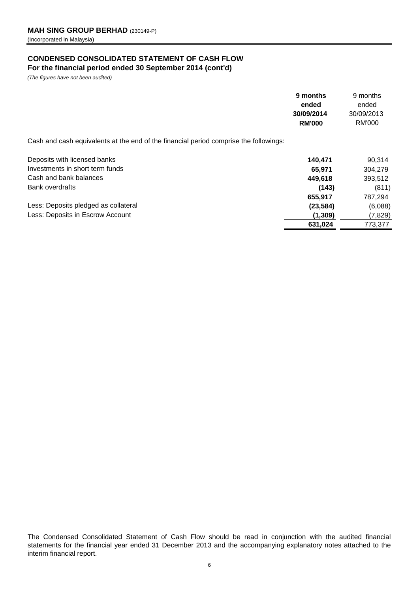# **CONDENSED CONSOLIDATED STATEMENT OF CASH FLOW For the financial period ended 30 September 2014 (cont'd)**

*(The figures have not been audited)*

|                                                                                       | 9 months<br>ended | 9 months<br>ended |
|---------------------------------------------------------------------------------------|-------------------|-------------------|
|                                                                                       | 30/09/2014        | 30/09/2013        |
|                                                                                       | <b>RM'000</b>     | RM'000            |
| Cash and cash equivalents at the end of the financial period comprise the followings: |                   |                   |
| Deposits with licensed banks                                                          | 140,471           | 90,314            |
| Investments in short term funds                                                       | 65,971            | 304,279           |
| Cash and bank balances                                                                | 449,618           | 393,512           |
| <b>Bank overdrafts</b>                                                                | (143)             | (811)             |
|                                                                                       | 655,917           | 787,294           |
| Less: Deposits pledged as collateral                                                  | (23, 584)         | (6,088)           |
| Less: Deposits in Escrow Account                                                      | (1, 309)          | (7, 829)          |
|                                                                                       | 631,024           | 773,377           |
|                                                                                       |                   |                   |

The Condensed Consolidated Statement of Cash Flow should be read in conjunction with the audited financial statements for the financial year ended 31 December 2013 and the accompanying explanatory notes attached to the interim financial report.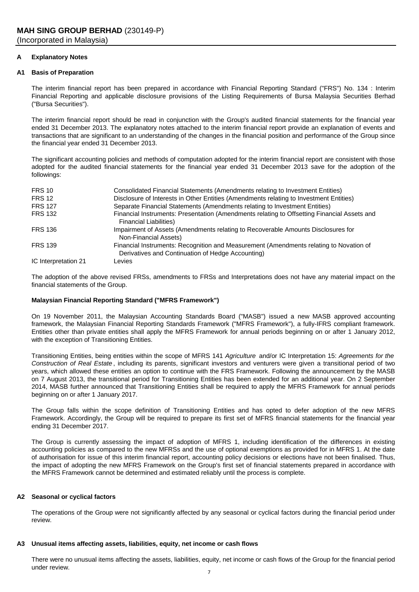# **A Explanatory Notes**

# **A1 Basis of Preparation**

The interim financial report has been prepared in accordance with Financial Reporting Standard ("FRS") No. 134 : Interim Financial Reporting and applicable disclosure provisions of the Listing Requirements of Bursa Malaysia Securities Berhad ("Bursa Securities").

The interim financial report should be read in conjunction with the Group's audited financial statements for the financial year ended 31 December 2013. The explanatory notes attached to the interim financial report provide an explanation of events and transactions that are significant to an understanding of the changes in the financial position and performance of the Group since the financial year ended 31 December 2013.

The significant accounting policies and methods of computation adopted for the interim financial report are consistent with those adopted for the audited financial statements for the financial year ended 31 December 2013 save for the adoption of the followings:

| <b>FRS 10</b>        | Consolidated Financial Statements (Amendments relating to Investment Entities)                                                              |
|----------------------|---------------------------------------------------------------------------------------------------------------------------------------------|
| <b>FRS 12</b>        | Disclosure of Interests in Other Entities (Amendments relating to Investment Entities)                                                      |
| <b>FRS 127</b>       | Separate Financial Statements (Amendments relating to Investment Entities)                                                                  |
| <b>FRS 132</b>       | Financial Instruments: Presentation (Amendments relating to Offsetting Financial Assets and<br><b>Financial Liabilities)</b>                |
| <b>FRS 136</b>       | Impairment of Assets (Amendments relating to Recoverable Amounts Disclosures for<br>Non-Financial Assets)                                   |
| <b>FRS 139</b>       | Financial Instruments: Recognition and Measurement (Amendments relating to Novation of<br>Derivatives and Continuation of Hedge Accounting) |
| IC Interpretation 21 | Levies                                                                                                                                      |

The adoption of the above revised FRSs, amendments to FRSs and Interpretations does not have any material impact on the financial statements of the Group.

# **Malaysian Financial Reporting Standard ("MFRS Framework")**

On 19 November 2011, the Malaysian Accounting Standards Board ("MASB") issued a new MASB approved accounting framework, the Malaysian Financial Reporting Standards Framework ("MFRS Framework"), a fully-IFRS compliant framework. Entities other than private entities shall apply the MFRS Framework for annual periods beginning on or after 1 January 2012, with the exception of Transitioning Entities.

Transitioning Entities, being entities within the scope of MFRS 141 *Agriculture* and/or IC Interpretation 15: *Agreements for the Construction of Real Estate* , including its parents, significant investors and venturers were given a transitional period of two years, which allowed these entities an option to continue with the FRS Framework. Following the announcement by the MASB on 7 August 2013, the transitional period for Transitioning Entities has been extended for an additional year. On 2 September 2014, MASB further announced that Transitioning Entities shall be required to apply the MFRS Framework for annual periods beginning on or after 1 January 2017.

The Group falls within the scope definition of Transitioning Entities and has opted to defer adoption of the new MFRS Framework. Accordingly, the Group will be required to prepare its first set of MFRS financial statements for the financial year ending 31 December 2017.

The Group is currently assessing the impact of adoption of MFRS 1, including identification of the differences in existing accounting policies as compared to the new MFRSs and the use of optional exemptions as provided for in MFRS 1. At the date of authorisation for issue of this interim financial report, accounting policy decisions or elections have not been finalised. Thus, the impact of adopting the new MFRS Framework on the Group's first set of financial statements prepared in accordance with the MFRS Framework cannot be determined and estimated reliably until the process is complete.

# **A2 Seasonal or cyclical factors**

The operations of the Group were not significantly affected by any seasonal or cyclical factors during the financial period under review.

#### **A3 Unusual items affecting assets, liabilities, equity, net income or cash flows**

There were no unusual items affecting the assets, liabilities, equity, net income or cash flows of the Group for the financial period under review.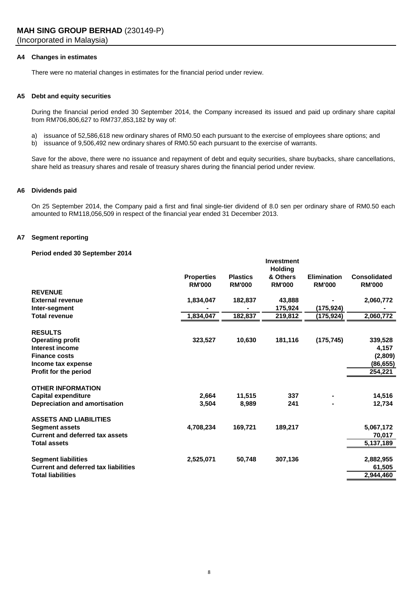# **A4 Changes in estimates**

There were no material changes in estimates for the financial period under review.

# **A5 Debt and equity securities**

During the financial period ended 30 September 2014, the Company increased its issued and paid up ordinary share capital from RM706,806,627 to RM737,853,182 by way of:

- a) issuance of 52,586,618 new ordinary shares of RM0.50 each pursuant to the exercise of employees share options; and
- b) issuance of 9,506,492 new ordinary shares of RM0.50 each pursuant to the exercise of warrants.

Save for the above, there were no issuance and repayment of debt and equity securities, share buybacks, share cancellations, share held as treasury shares and resale of treasury shares during the financial period under review.

## **A6 Dividends paid**

On 25 September 2014, the Company paid a first and final single-tier dividend of 8.0 sen per ordinary share of RM0.50 each amounted to RM118,056,509 in respect of the financial year ended 31 December 2013.

# **A7 Segment reporting**

# **Period ended 30 September 2014**

|                                             |                                    |                                  | <b>Investment</b>                           |                                     |                                      |
|---------------------------------------------|------------------------------------|----------------------------------|---------------------------------------------|-------------------------------------|--------------------------------------|
|                                             | <b>Properties</b><br><b>RM'000</b> | <b>Plastics</b><br><b>RM'000</b> | <b>Holding</b><br>& Others<br><b>RM'000</b> | <b>Elimination</b><br><b>RM'000</b> | <b>Consolidated</b><br><b>RM'000</b> |
| <b>REVENUE</b>                              |                                    |                                  |                                             |                                     |                                      |
| <b>External revenue</b>                     | 1,834,047                          | 182,837                          | 43,888                                      |                                     | 2,060,772                            |
| Inter-segment                               |                                    |                                  | 175,924                                     | (175,924)                           |                                      |
| <b>Total revenue</b>                        | 1,834,047                          | 182,837                          | 219,812                                     | (175, 924)                          | 2,060,772                            |
| <b>RESULTS</b>                              |                                    |                                  |                                             |                                     |                                      |
| <b>Operating profit</b>                     | 323,527                            | 10,630                           | 181,116                                     | (175, 745)                          | 339,528                              |
| Interest income                             |                                    |                                  |                                             |                                     | 4,157                                |
| <b>Finance costs</b>                        |                                    |                                  |                                             |                                     | (2,809)                              |
| Income tax expense                          |                                    |                                  |                                             |                                     | (86, 655)                            |
| Profit for the period                       |                                    |                                  |                                             |                                     | 254,221                              |
| <b>OTHER INFORMATION</b>                    |                                    |                                  |                                             |                                     |                                      |
| <b>Capital expenditure</b>                  | 2,664                              | 11,515                           | 337                                         |                                     | 14,516                               |
| Depreciation and amortisation               | 3,504                              | 8,989                            | 241                                         |                                     | 12,734                               |
| <b>ASSETS AND LIABILITIES</b>               |                                    |                                  |                                             |                                     |                                      |
| <b>Segment assets</b>                       | 4,708,234                          | 169,721                          | 189,217                                     |                                     | 5,067,172                            |
| <b>Current and deferred tax assets</b>      |                                    |                                  |                                             |                                     | 70,017                               |
| Total assets                                |                                    |                                  |                                             |                                     | 5,137,189                            |
| <b>Segment liabilities</b>                  | 2,525,071                          | 50,748                           | 307,136                                     |                                     | 2,882,955                            |
| <b>Current and deferred tax liabilities</b> |                                    |                                  |                                             |                                     | 61,505                               |
| <b>Total liabilities</b>                    |                                    |                                  |                                             |                                     | 2,944,460                            |
|                                             |                                    |                                  |                                             |                                     |                                      |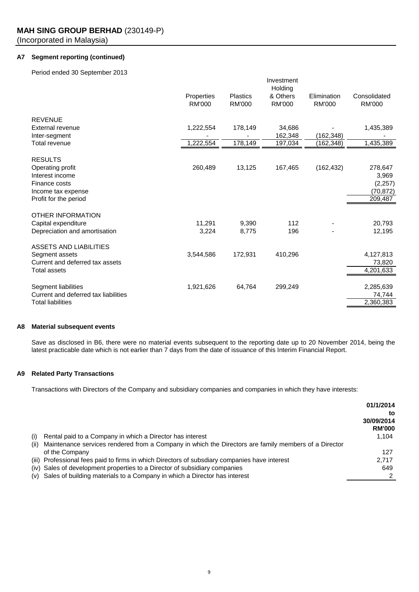# **A7 Segment reporting (continued)**

Period ended 30 September 2013

|                                      | Investment                  |                                  |                                      |                              |                               |  |
|--------------------------------------|-----------------------------|----------------------------------|--------------------------------------|------------------------------|-------------------------------|--|
|                                      | Properties<br><b>RM'000</b> | <b>Plastics</b><br><b>RM'000</b> | Holding<br>& Others<br><b>RM'000</b> | Elimination<br><b>RM'000</b> | Consolidated<br><b>RM'000</b> |  |
| <b>REVENUE</b>                       |                             |                                  |                                      |                              |                               |  |
| External revenue                     | 1,222,554                   | 178,149                          | 34.686                               |                              | 1,435,389                     |  |
| Inter-segment                        |                             |                                  | 162,348                              | (162,348)                    |                               |  |
| Total revenue                        | 1,222,554                   | 178,149                          | 197,034                              | (162, 348)                   | 1,435,389                     |  |
| <b>RESULTS</b>                       |                             |                                  |                                      |                              |                               |  |
| Operating profit                     | 260,489                     | 13,125                           | 167,465                              | (162, 432)                   | 278,647                       |  |
| Interest income                      |                             |                                  |                                      |                              | 3,969                         |  |
| Finance costs                        |                             |                                  |                                      |                              | (2,257)                       |  |
| Income tax expense                   |                             |                                  |                                      |                              | (70, 872)                     |  |
| Profit for the period                |                             |                                  |                                      |                              | 209,487                       |  |
| OTHER INFORMATION                    |                             |                                  |                                      |                              |                               |  |
| Capital expenditure                  | 11.291                      | 9,390                            | 112                                  |                              | 20,793                        |  |
| Depreciation and amortisation        | 3,224                       | 8,775                            | 196                                  |                              | 12,195                        |  |
|                                      |                             |                                  |                                      |                              |                               |  |
| ASSETS AND LIABILITIES               |                             |                                  |                                      |                              |                               |  |
| Segment assets                       | 3,544,586                   | 172,931                          | 410,296                              |                              | 4,127,813                     |  |
| Current and deferred tax assets      |                             |                                  |                                      |                              | 73,820                        |  |
| Total assets                         |                             |                                  |                                      |                              | 4,201,633                     |  |
|                                      |                             |                                  |                                      |                              |                               |  |
| Segment liabilities                  | 1,921,626                   | 64,764                           | 299,249                              |                              | 2,285,639                     |  |
| Current and deferred tax liabilities |                             |                                  |                                      |                              | 74,744                        |  |
| <b>Total liabilities</b>             |                             |                                  |                                      |                              | 2,360,383                     |  |

# **A8 Material subsequent events**

Save as disclosed in B6, there were no material events subsequent to the reporting date up to 20 November 2014, being the latest practicable date which is not earlier than 7 days from the date of issuance of this Interim Financial Report.

# **A9 Related Party Transactions**

Transactions with Directors of the Company and subsidiary companies and companies in which they have interests:

|      |                                                                                                      | 01/1/2014                   |
|------|------------------------------------------------------------------------------------------------------|-----------------------------|
|      |                                                                                                      | to                          |
|      |                                                                                                      | 30/09/2014<br><b>RM'000</b> |
| (i)  | Rental paid to a Company in which a Director has interest                                            | 1.104                       |
| (ii) | Maintenance services rendered from a Company in which the Directors are family members of a Director |                             |
|      | of the Company                                                                                       | 127                         |
|      | (iii) Professional fees paid to firms in which Directors of subsdiary companies have interest        | 2,717                       |
|      | (iv) Sales of development properties to a Director of subsidiary companies                           | 649                         |
|      | (v) Sales of building materials to a Company in which a Director has interest                        |                             |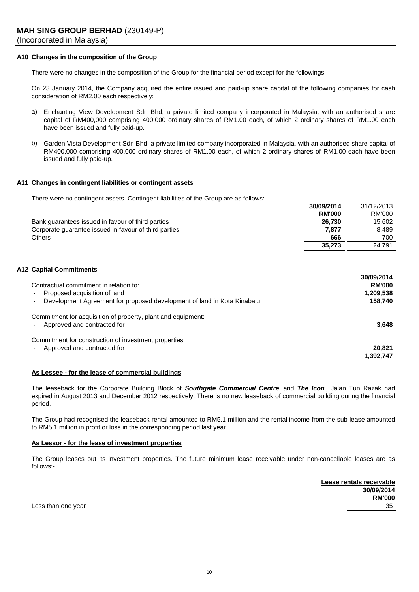# **A10 Changes in the composition of the Group**

There were no changes in the composition of the Group for the financial period except for the followings:

On 23 January 2014, the Company acquired the entire issued and paid-up share capital of the following companies for cash consideration of RM2.00 each respectively:

- a) Enchanting View Development Sdn Bhd, a private limited company incorporated in Malaysia, with an authorised share capital of RM400,000 comprising 400,000 ordinary shares of RM1.00 each, of which 2 ordinary shares of RM1.00 each have been issued and fully paid-up.
- b) Garden Vista Development Sdn Bhd, a private limited company incorporated in Malaysia, with an authorised share capital of RM400,000 comprising 400,000 ordinary shares of RM1.00 each, of which 2 ordinary shares of RM1.00 each have been issued and fully paid-up.

# **A11 Changes in contingent liabilities or contingent assets**

There were no contingent assets. Contingent liabilities of the Group are as follows:

|                                                       | 30/09/2014    | 31/12/2013 |
|-------------------------------------------------------|---------------|------------|
|                                                       | <b>RM'000</b> | RM'000     |
| Bank quarantees issued in favour of third parties     | 26,730        | 15.602     |
| Corporate quarantee issued in favour of third parties | 7.877         | 8.489      |
| Others                                                | 666           | 700        |
|                                                       | 35,273        | 24.791     |

# **A12 Capital Commitments**

| Contractual commitment in relation to:<br>Proposed acquisition of land<br>٠<br>Development Agreement for proposed development of land in Kota Kinabalu<br>$\blacksquare$ | 30/09/2014<br><b>RM'000</b><br>1,209,538<br>158,740 |
|--------------------------------------------------------------------------------------------------------------------------------------------------------------------------|-----------------------------------------------------|
| Commitment for acquisition of property, plant and equipment:<br>Approved and contracted for                                                                              | 3,648                                               |
| Commitment for construction of investment properties<br>Approved and contracted for<br>$\blacksquare$                                                                    | 20,821                                              |
|                                                                                                                                                                          | 1.392.747                                           |

# **As Lessee - for the lease of commercial buildings**

The leaseback for the Corporate Building Block of *Southgate Commercial Centre* and *The Icon* , Jalan Tun Razak had expired in August 2013 and December 2012 respectively. There is no new leaseback of commercial building during the financial period.

The Group had recognised the leaseback rental amounted to RM5.1 million and the rental income from the sub-lease amounted to RM5.1 million in profit or loss in the corresponding period last year.

#### **As Lessor - for the lease of investment properties**

The Group leases out its investment properties. The future minimum lease receivable under non-cancellable leases are as follows:-

**Lease rentals receivable 30/09/2014 RM'000** Less than one year 35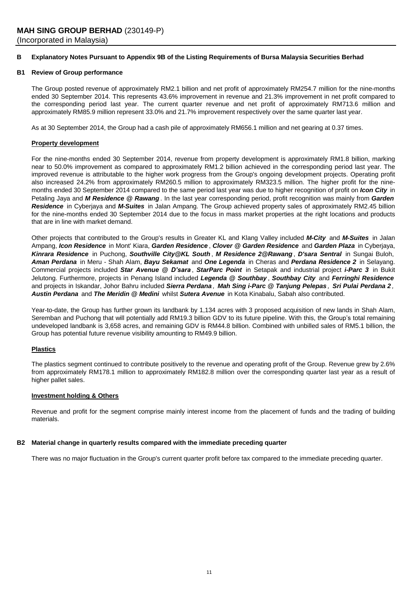# **B Explanatory Notes Pursuant to Appendix 9B of the Listing Requirements of Bursa Malaysia Securities Berhad**

## **B1 Review of Group performance**

The Group posted revenue of approximately RM2.1 billion and net profit of approximately RM254.7 million for the nine-months ended 30 September 2014. This represents 43.6% improvement in revenue and 21.3% improvement in net profit compared to the corresponding period last year. The current quarter revenue and net profit of approximately RM713.6 million and approximately RM85.9 million represent 33.0% and 21.7% improvement respectively over the same quarter last year.

As at 30 September 2014, the Group had a cash pile of approximately RM656.1 million and net gearing at 0.37 times.

# **Property development**

For the nine-months ended 30 September 2014, revenue from property development is approximately RM1.8 billion, marking near to 50.0% improvement as compared to approximately RM1.2 billion achieved in the corresponding period last year. The improved revenue is attributable to the higher work progress from the Group's ongoing development projects. Operating profit also increased 24.2% from approximately RM260.5 million to approximately RM323.5 million. The higher profit for the ninemonths ended 30 September 2014 compared to the same period last year was due to higher recognition of profit on *Icon City* in Petaling Jaya and *M Residence @ Rawang* . In the last year corresponding period, profit recognition was mainly from *Garden Residence* in Cyberjaya and *M-Suites* in Jalan Ampang. The Group achieved property sales of approximately RM2.45 billion for the nine-months ended 30 September 2014 due to the focus in mass market properties at the right locations and products that are in line with market demand.

Other projects that contributed to the Group's results in Greater KL and Klang Valley included *M-City* and *M-Suites* in Jalan Ampang, *Icon Residence* in Mont' Kiara, *Garden Residence* , *Clover @ Garden Residence* and *Garden Plaza* in Cyberjaya, *Kinrara Residence* in Puchong, *Southville City@KL South* , *M Residence 2@Rawang* , *D'sara Sentral* in Sungai Buloh, *Aman Perdana* in Meru - Shah Alam, *Bayu Sekamat* and *One Legenda* in Cheras and *Perdana Residence 2* in Selayang. Commercial projects included *Star Avenue @ D'sara* , *StarParc Point* in Setapak and industrial project *i-Parc 3* in Bukit Jelutong. Furthermore, projects in Penang Island included *Legenda @ Southbay* , *Southbay City* and *Ferringhi Residence* and projects in Iskandar, Johor Bahru included Sierra Perdana, Mah Sing i-Parc @ Tanjung Pelepas, Sri Pulai Perdana 2, *Austin Perdana* and *The Meridin @ Medini* whilst *Sutera Avenue* in Kota Kinabalu, Sabah also contributed.

Year-to-date, the Group has further grown its landbank by 1,134 acres with 3 proposed acquisition of new lands in Shah Alam, Seremban and Puchong that will potentially add RM19.3 billion GDV to its future pipeline. With this, the Group's total remaining undeveloped landbank is 3,658 acres, and remaining GDV is RM44.8 billion. Combined with unbilled sales of RM5.1 billion, the Group has potential future revenue visibility amounting to RM49.9 billion.

# **Plastics**

The plastics segment continued to contribute positively to the revenue and operating profit of the Group. Revenue grew by 2.6% from approximately RM178.1 million to approximately RM182.8 million over the corresponding quarter last year as a result of higher pallet sales.

#### **Investment holding & Others**

Revenue and profit for the segment comprise mainly interest income from the placement of funds and the trading of building materials.

### **B2 Material change in quarterly results compared with the immediate preceding quarter**

There was no major fluctuation in the Group's current quarter profit before tax compared to the immediate preceding quarter.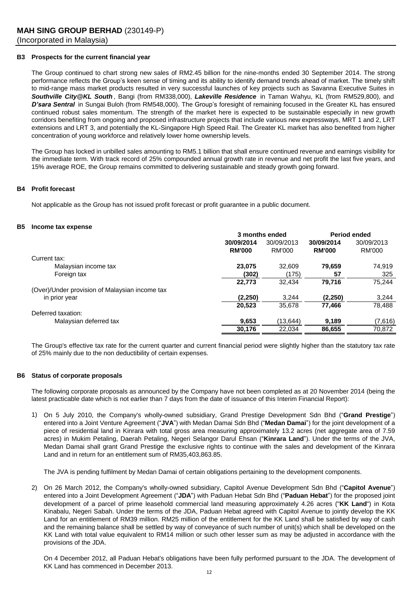## **B3 Prospects for the current financial year**

The Group continued to chart strong new sales of RM2.45 billion for the nine-months ended 30 September 2014. The strong performance reflects the Group's keen sense of timing and its ability to identify demand trends ahead of market. The timely shift to mid-range mass market products resulted in very successful launches of key projects such as Savanna Executive Suites in *Southville City@KL South* , Bangi (from RM338,000), *Lakeville Residence* in Taman Wahyu, KL (from RM529,800), and *D'sara Sentral* in Sungai Buloh (from RM548,000). The Group's foresight of remaining focused in the Greater KL has ensured continued robust sales momentum. The strength of the market here is expected to be sustainable especially in new growth corridors benefiting from ongoing and proposed infrastructure projects that include various new expressways, MRT 1 and 2, LRT extensions and LRT 3, and potentially the KL-Singapore High Speed Rail. The Greater KL market has also benefited from higher concentration of young workforce and relatively lower home ownership levels.

The Group has locked in unbilled sales amounting to RM5.1 billion that shall ensure continued revenue and earnings visibility for the immediate term. With track record of 25% compounded annual growth rate in revenue and net profit the last five years, and 15% average ROE, the Group remains committed to delivering sustainable and steady growth going forward.

## **B4 Profit forecast**

Not applicable as the Group has not issued profit forecast or profit guarantee in a public document.

#### **B5 Income tax expense**

|                                                | 3 months ended |            | <b>Period ended</b> |            |
|------------------------------------------------|----------------|------------|---------------------|------------|
|                                                | 30/09/2014     | 30/09/2013 | 30/09/2014          | 30/09/2013 |
|                                                | <b>RM'000</b>  | RM'000     | <b>RM'000</b>       | RM'000     |
| Current tax:                                   |                |            |                     |            |
| Malaysian income tax                           | 23,075         | 32.609     | 79,659              | 74,919     |
| Foreign tax                                    | (302)          | (175)      | 57                  | 325        |
|                                                | 22,773         | 32,434     | 79,716              | 75,244     |
| (Over)/Under provision of Malaysian income tax |                |            |                     |            |
| in prior year                                  | (2,250)        | 3,244      | (2,250)             | 3,244      |
|                                                | 20,523         | 35.678     | 77.466              | 78.488     |
| Deferred taxation:                             |                |            |                     |            |
| Malaysian deferred tax                         | 9,653          | (13,644)   | 9,189               | (7,616)    |
|                                                | 30,176         | 22.034     | 86,655              | 70,872     |

The Group's effective tax rate for the current quarter and current financial period were slightly higher than the statutory tax rate of 25% mainly due to the non deductibility of certain expenses.

#### **B6 Status of corporate proposals**

The following corporate proposals as announced by the Company have not been completed as at 20 November 2014 (being the latest practicable date which is not earlier than 7 days from the date of issuance of this Interim Financial Report):

1) On 5 July 2010, the Company's wholly-owned subsidiary, Grand Prestige Development Sdn Bhd ("**Grand Prestige**") entered into a Joint Venture Agreement ("**JVA**") with Medan Damai Sdn Bhd ("**Medan Damai**") for the joint development of a piece of residential land in Kinrara with total gross area measuring approximately 13.2 acres (net aggregate area of 7.59 acres) in Mukim Petaling, Daerah Petaling, Negeri Selangor Darul Ehsan ("**Kinrara Land**"). Under the terms of the JVA, Medan Damai shall grant Grand Prestige the exclusive rights to continue with the sales and development of the Kinrara Land and in return for an entitlement sum of RM35,403,863.85.

The JVA is pending fulfilment by Medan Damai of certain obligations pertaining to the development components.

2) On 26 March 2012, the Company's wholly-owned subsidiary, Capitol Avenue Development Sdn Bhd ("**Capitol Avenue**") entered into a Joint Development Agreement ("**JDA**") with Paduan Hebat Sdn Bhd ("**Paduan Hebat**") for the proposed joint development of a parcel of prime leasehold commercial land measuring approximately 4.26 acres ("**KK Land**") in Kota Kinabalu, Negeri Sabah. Under the terms of the JDA, Paduan Hebat agreed with Capitol Avenue to jointly develop the KK Land for an entitlement of RM39 million. RM25 million of the entitlement for the KK Land shall be satisfied by way of cash and the remaining balance shall be settled by way of conveyance of such number of unit(s) which shall be developed on the KK Land with total value equivalent to RM14 million or such other lesser sum as may be adjusted in accordance with the provisions of the JDA.

On 4 December 2012, all Paduan Hebat's obligations have been fully performed pursuant to the JDA. The development of KK Land has commenced in December 2013.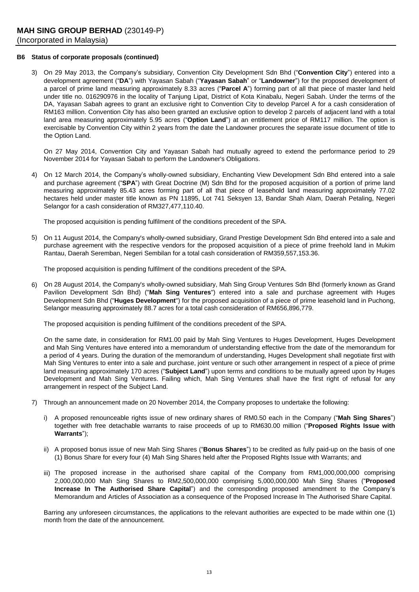# **B6 Status of corporate proposals (continued)**

3) On 29 May 2013, the Company's subsidiary, Convention City Development Sdn Bhd ("**Convention City**") entered into a development agreement ("**DA**") with Yayasan Sabah ("**Yayasan Sabah**" or "**Landowner**") for the proposed development of a parcel of prime land measuring approximately 8.33 acres ("**Parcel A**") forming part of all that piece of master land held under title no. 016290976 in the locality of Tanjung Lipat, District of Kota Kinabalu, Negeri Sabah. Under the terms of the DA, Yayasan Sabah agrees to grant an exclusive right to Convention City to develop Parcel A for a cash consideration of RM163 million. Convention City has also been granted an exclusive option to develop 2 parcels of adjacent land with a total land area measuring approximately 5.95 acres ("**Option Land**") at an entitlement price of RM117 million. The option is exercisable by Convention City within 2 years from the date the Landowner procures the separate issue document of title to the Option Land.

On 27 May 2014, Convention City and Yayasan Sabah had mutually agreed to extend the performance period to 29 November 2014 for Yayasan Sabah to perform the Landowner's Obligations.

4) On 12 March 2014, the Company's wholly-owned subsidiary, Enchanting View Development Sdn Bhd entered into a sale and purchase agreement ("**SPA**") with Great Doctrine (M) Sdn Bhd for the proposed acquisition of a portion of prime land measuring approximately 85.43 acres forming part of all that piece of leasehold land measuring approximately 77.02 hectares held under master title known as PN 11895, Lot 741 Seksyen 13, Bandar Shah Alam, Daerah Petaling, Negeri Selangor for a cash consideration of RM327,477,110.40.

The proposed acquisition is pending fulfilment of the conditions precedent of the SPA.

5) On 11 August 2014, the Company's wholly-owned subsidiary, Grand Prestige Development Sdn Bhd entered into a sale and purchase agreement with the respective vendors for the proposed acquisition of a piece of prime freehold land in Mukim Rantau, Daerah Seremban, Negeri Sembilan for a total cash consideration of RM359,557,153.36.

The proposed acquisition is pending fulfilment of the conditions precedent of the SPA.

6) On 28 August 2014, the Company's wholly-owned subsidiary, Mah Sing Group Ventures Sdn Bhd (formerly known as Grand Pavilion Development Sdn Bhd) ("**Mah Sing Ventures**") entered into a sale and purchase agreement with Huges Development Sdn Bhd ("**Huges Development**") for the proposed acquisition of a piece of prime leasehold land in Puchong, Selangor measuring approximately 88.7 acres for a total cash consideration of RM656,896,779.

The proposed acquisition is pending fulfilment of the conditions precedent of the SPA.

On the same date, in consideration for RM1.00 paid by Mah Sing Ventures to Huges Development, Huges Development and Mah Sing Ventures have entered into a memorandum of understanding effective from the date of the memorandum for a period of 4 years. During the duration of the memorandum of understanding, Huges Development shall negotiate first with Mah Sing Ventures to enter into a sale and purchase, joint venture or such other arrangement in respect of a piece of prime land measuring approximately 170 acres ("**Subject Land**") upon terms and conditions to be mutually agreed upon by Huges Development and Mah Sing Ventures. Failing which, Mah Sing Ventures shall have the first right of refusal for any arrangement in respect of the Subject Land.

- 7) Through an announcement made on 20 November 2014, the Company proposes to undertake the following:
	- i) A proposed renounceable rights issue of new ordinary shares of RM0.50 each in the Company ("**Mah Sing Shares**") together with free detachable warrants to raise proceeds of up to RM630.00 million ("**Proposed Rights Issue with Warrants**");
	- ii) A proposed bonus issue of new Mah Sing Shares ("**Bonus Shares**") to be credited as fully paid-up on the basis of one (1) Bonus Share for every four (4) Mah Sing Shares held after the Proposed Rights Issue with Warrants; and
	- iii) The proposed increase in the authorised share capital of the Company from RM1,000,000,000 comprising 2,000,000,000 Mah Sing Shares to RM2,500,000,000 comprising 5,000,000,000 Mah Sing Shares ("**Proposed Increase In The Authorised Share Capital**") and the corresponding proposed amendment to the Company's Memorandum and Articles of Association as a consequence of the Proposed Increase In The Authorised Share Capital.

Barring any unforeseen circumstances, the applications to the relevant authorities are expected to be made within one (1) month from the date of the announcement.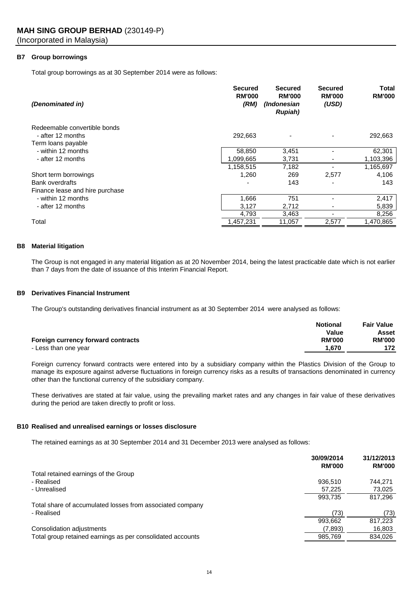# **B7 Group borrowings**

Total group borrowings as at 30 September 2014 were as follows:

| (Denominated in)                | <b>Secured</b><br><b>RM'000</b><br>(RM) | Secured<br><b>RM'000</b><br>(Indonesian<br><b>Rupiah</b> ) | <b>Secured</b><br><b>RM'000</b><br>(USD) | Total<br><b>RM'000</b> |
|---------------------------------|-----------------------------------------|------------------------------------------------------------|------------------------------------------|------------------------|
| Redeemable convertible bonds    |                                         |                                                            |                                          |                        |
| - after 12 months               | 292,663                                 |                                                            |                                          | 292,663                |
| Term loans payable              |                                         |                                                            |                                          |                        |
| - within 12 months              | 58,850                                  | 3,451                                                      |                                          | 62,301                 |
| - after 12 months               | .099,665                                | 3,731                                                      |                                          | 1,103,396              |
|                                 | 1,158,515                               | 7,182                                                      |                                          | 1,165,697              |
| Short term borrowings           | 1,260                                   | 269                                                        | 2,577                                    | 4,106                  |
| <b>Bank overdrafts</b>          |                                         | 143                                                        |                                          | 143                    |
| Finance lease and hire purchase |                                         |                                                            |                                          |                        |
| - within 12 months              | 1,666                                   | 751                                                        |                                          | 2,417                  |
| - after 12 months               | 3,127                                   | 2,712                                                      |                                          | 5,839                  |
|                                 | 4,793                                   | 3,463                                                      |                                          | 8,256                  |
| Total                           | 1,457,231                               | 11,057                                                     | 2,577                                    | 1.470.865              |

#### **B8 Material litigation**

The Group is not engaged in any material litigation as at 20 November 2014, being the latest practicable date which is not earlier than 7 days from the date of issuance of this Interim Financial Report.

### **B9 Derivatives Financial Instrument**

The Group's outstanding derivatives financial instrument as at 30 September 2014 were analysed as follows:

|                                    | <b>Notional</b> | <b>Fair Value</b> |
|------------------------------------|-----------------|-------------------|
|                                    | Value           | Asset             |
| Foreign currency forward contracts | <b>RM'000</b>   | <b>RM'000</b>     |
| - Less than one year               | 1.670           | 172               |

Foreign currency forward contracts were entered into by a subsidiary company within the Plastics Division of the Group to manage its exposure against adverse fluctuations in foreign currency risks as a results of transactions denominated in currency other than the functional currency of the subsidiary company.

These derivatives are stated at fair value, using the prevailing market rates and any changes in fair value of these derivatives during the period are taken directly to profit or loss.

# **B10 Realised and unrealised earnings or losses disclosure**

The retained earnings as at 30 September 2014 and 31 December 2013 were analysed as follows:

|                                                            | 30/09/2014<br><b>RM'000</b> | 31/12/2013<br><b>RM'000</b> |
|------------------------------------------------------------|-----------------------------|-----------------------------|
| Total retained earnings of the Group                       |                             |                             |
| - Realised                                                 | 936.510                     | 744.271                     |
| - Unrealised                                               | 57,225                      | 73,025                      |
|                                                            | 993.735                     | 817,296                     |
| Total share of accumulated losses from associated company  |                             |                             |
| - Realised                                                 | (73)                        | (73)                        |
|                                                            | 993.662                     | 817,223                     |
| Consolidation adjustments                                  | (7.893)                     | 16,803                      |
| Total group retained earnings as per consolidated accounts | 985,769                     | 834.026                     |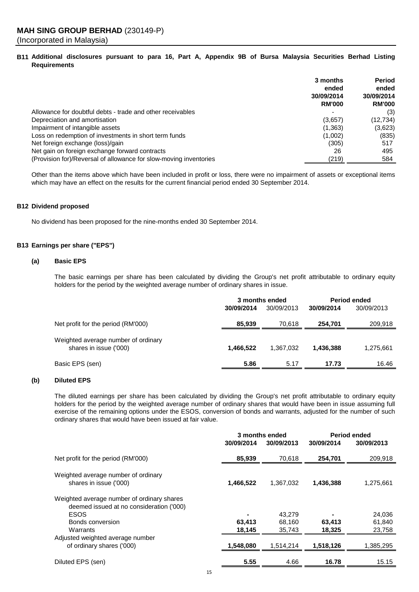# B11 Additional disclosures pursuant to para 16, Part A, Appendix 9B of Bursa Malaysia Securities Berhad Listing **Requirements**

|                                                                   | 3 months<br>ended<br>30/09/2014<br><b>RM'000</b> | Period<br>ended<br>30/09/2014<br><b>RM'000</b> |
|-------------------------------------------------------------------|--------------------------------------------------|------------------------------------------------|
| Allowance for doubtful debts - trade and other receivables        |                                                  | (3)                                            |
| Depreciation and amortisation                                     | (3,657)                                          | (12,734)                                       |
| Impairment of intangible assets                                   | (1,363)                                          | (3,623)                                        |
| Loss on redemption of investments in short term funds             | (1,002)                                          | (835)                                          |
| Net foreign exchange (loss)/gain                                  | (305)                                            | 517                                            |
| Net gain on foreign exchange forward contracts                    | 26                                               | 495                                            |
| (Provision for)/Reversal of allowance for slow-moving inventories | (219)                                            | 584                                            |

Other than the items above which have been included in profit or loss, there were no impairment of assets or exceptional items which may have an effect on the results for the current financial period ended 30 September 2014.

## **B12 Dividend proposed**

No dividend has been proposed for the nine-months ended 30 September 2014.

# **B13 Earnings per share ("EPS")**

# **(a) Basic EPS**

The basic earnings per share has been calculated by dividing the Group's net profit attributable to ordinary equity holders for the period by the weighted average number of ordinary shares in issue.

|                                                               | 3 months ended |            | <b>Period ended</b> |            |
|---------------------------------------------------------------|----------------|------------|---------------------|------------|
|                                                               | 30/09/2014     | 30/09/2013 | 30/09/2014          | 30/09/2013 |
| Net profit for the period (RM'000)                            | 85,939         | 70,618     | 254,701             | 209,918    |
| Weighted average number of ordinary<br>shares in issue ('000) | 1.466.522      | 1.367.032  | 1,436,388           | 1,275,661  |
| Basic EPS (sen)                                               | 5.86           | 5.17       | 17.73               | 16.46      |

## **(b) Diluted EPS**

The diluted earnings per share has been calculated by dividing the Group's net profit attributable to ordinary equity holders for the period by the weighted average number of ordinary shares that would have been in issue assuming full exercise of the remaining options under the ESOS, conversion of bonds and warrants, adjusted for the number of such ordinary shares that would have been issued at fair value.

|                                                                                                                                       | 3 months ended        |                            | Period ended     |                            |
|---------------------------------------------------------------------------------------------------------------------------------------|-----------------------|----------------------------|------------------|----------------------------|
|                                                                                                                                       | 30/09/2014            | 30/09/2013                 | 30/09/2014       | 30/09/2013                 |
| Net profit for the period (RM'000)                                                                                                    | 85,939                | 70,618                     | 254,701          | 209,918                    |
| Weighted average number of ordinary<br>shares in issue ('000)                                                                         | 1,466,522             | 1,367,032                  | 1,436,388        | 1,275,661                  |
| Weighted average number of ordinary shares<br>deemed issued at no consideration ('000)<br><b>ESOS</b><br>Bonds conversion<br>Warrants | ٠<br>63,413<br>18,145 | 43,279<br>68,160<br>35.743 | 63,413<br>18,325 | 24,036<br>61,840<br>23,758 |
| Adjusted weighted average number<br>of ordinary shares ('000)                                                                         | 1,548,080             | 1,514,214                  | 1,518,126        | 1,385,295                  |
| Diluted EPS (sen)                                                                                                                     | 5.55                  | 4.66                       | 16.78            | 15.15                      |